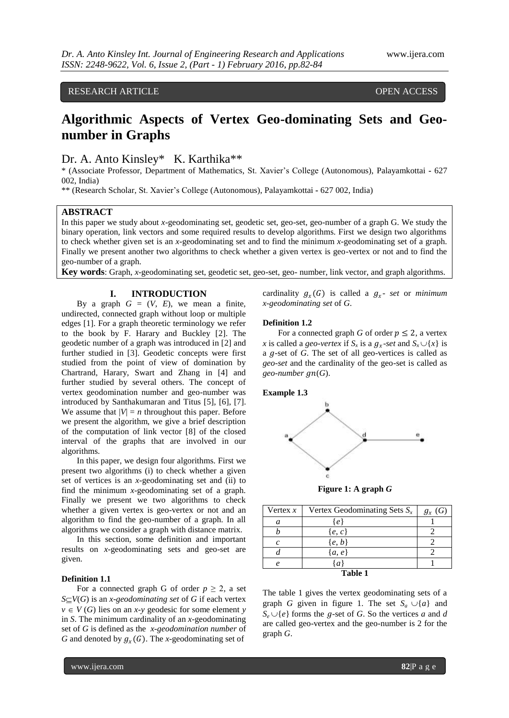RESEARCH ARTICLE OPEN ACCESS

# **Algorithmic Aspects of Vertex Geo-dominating Sets and Geonumber in Graphs**

Dr. A. Anto Kinsley\* K. Karthika\*\*

\* (Associate Professor, Department of Mathematics, St. Xavier's College (Autonomous), Palayamkottai **-** 627 002, India)

\*\* (Research Scholar, St. Xavier's College (Autonomous), Palayamkottai **-** 627 002, India)

## **ABSTRACT**

In this paper we study about *x*-geodominating set, geodetic set, geo-set, geo-number of a graph G. We study the binary operation, link vectors and some required results to develop algorithms. First we design two algorithms to check whether given set is an *x*-geodominating set and to find the minimum *x*-geodominating set of a graph. Finally we present another two algorithms to check whether a given vertex is geo-vertex or not and to find the geo-number of a graph.

**Key words**: Graph, *x*-geodominating set, geodetic set, geo-set, geo- number, link vector, and graph algorithms.

# **I. INTRODUCTION**

By a graph  $G = (V, E)$ , we mean a finite, undirected, connected graph without loop or multiple edges [1]. For a graph theoretic terminology we refer to the book by F. Harary and Buckley [2]. The geodetic number of a graph was introduced in [2] and further studied in [3]. Geodetic concepts were first studied from the point of view of domination by Chartrand, Harary, Swart and Zhang in [4] and further studied by several others. The concept of vertex geodomination number and geo-number was introduced by Santhakumaran and Titus [5], [6], [7]. We assume that  $|V| = n$  throughout this paper. Before we present the algorithm, we give a brief description of the computation of link vector [8] of the closed interval of the graphs that are involved in our algorithms.

In this paper, we design four algorithms. First we present two algorithms (i) to check whether a given set of vertices is an *x*-geodominating set and (ii) to find the minimum *x*-geodominating set of a graph. Finally we present we two algorithms to check whether a given vertex is geo-vertex or not and an algorithm to find the geo-number of a graph. In all algorithms we consider a graph with distance matrix.

In this section, some definition and important results on *x*-geodominating sets and geo-set are given.

# **Definition 1.1**

For a connected graph G of order  $p \geq 2$ , a set  $S \subseteq V(G)$  is an *x*-*geodominating set* of *G* if each vertex  $v \in V(G)$  lies on an *x*-*y* geodesic for some element *y* in *S*. The minimum cardinality of an *x*-geodominating set of *G* is defined as the *x-geodomination number* of *G* and denoted by  $g_x(G)$ . The *x*-geodominating set of

cardinality  $g_x(G)$  is called a  $g_x$ - *set* or *minimum x-geodominating set* of *G*.

## **Definition 1.2**

For a connected graph *G* of order  $p \le 2$ , a vertex *x* is called a *geo-vertex* if  $S_x$  is a  $g_x$ -set and  $S_x \cup \{x\}$  is a g-set of G. The set of all geo-vertices is called as *geo-set* and the cardinality of the geo-set is called as  $geo$ -number  $gn(G)$ .





**Figure 1: A graph** *G*

| Vertex $x$ | Vertex Geodominating Sets $S_x$ | $g_{x}\left(G\right)$ |
|------------|---------------------------------|-----------------------|
| a          | {e}                             |                       |
|            | $\{e, c\}$                      |                       |
|            | $\{e, b\}$                      |                       |
|            | $\{a, e\}$                      |                       |
| $\rho$     | $\{a\}$                         |                       |
| Toble 1    |                                 |                       |

**Table 1**

The table 1 gives the vertex geodominating sets of a graph *G* given in figure 1. The set  $S_a \cup \{a\}$  and  $S_e \cup \{e\}$  forms the g-set of *G*. So the vertices *a* and *d* are called geo-vertex and the geo-number is 2 for the graph *G*.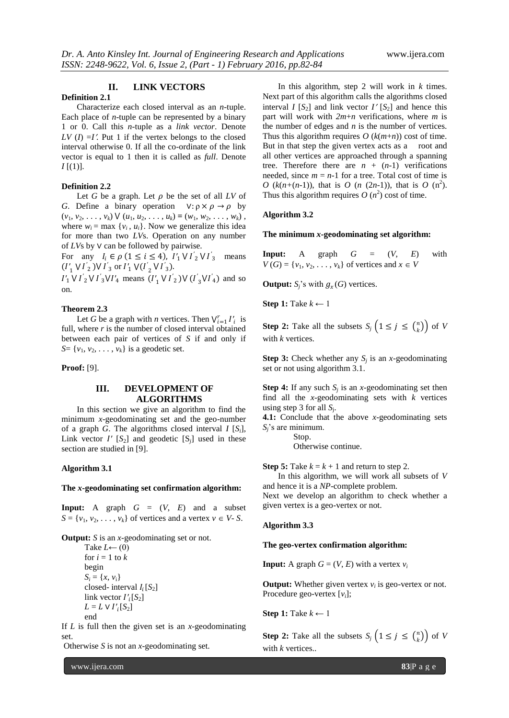# **II. LINK VECTORS**

## **Definition 2.1**

Characterize each closed interval as an *n*-tuple. Each place of *n*-tuple can be represented by a binary 1 or 0. Call this *n*-tuple as a *link vector*. Denote *LV* ( $I$ ) =*I'*. Put 1 if the vertex belongs to the closed interval otherwise 0. If all the co-ordinate of the link vector is equal to 1 then it is called as *full*. Denote  $I[(1)].$ 

# **Definition 2.2**

Let *G* be a graph. Let  $\rho$  be the set of all *LV* of *G*. Define a binary operation  $V: \rho \times \rho \rightarrow \rho$  by  $(v_1, v_2, \ldots, v_k) \vee (u_1, u_2, \ldots, u_k) = (w_1, w_2, \ldots, w_k)$ , where  $w_i = \max \{v_i, u_i\}$ . Now we generalize this idea for more than two *LV*s. Operation on any number of *LV*s by ∨ can be followed by pairwise.

For any  $I_i \in \rho \ (1 \le i \le 4)$ ,  $I'_1 \vee I'_2 \vee I'_3$  means  $(I'_1 \vee I'_2) \vee I'_3$  or  $I'_1 \vee (I'_2 \vee I'_3)$ .

 $I'_1 \vee I'_2 \vee I'_3 \vee I'_4$  means  $(I'_1 \vee I'_2) \vee (I'_3 \vee I'_4)$  and so on.

#### **Theorem 2.3**

Let *G* be a graph with *n* vertices. Then  $V_{i=1}^r I'_i$  is full, where *r* is the number of closed interval obtained between each pair of vertices of *S* if and only if  $S = \{v_1, v_2, \ldots, v_k\}$  is a geodetic set.

**Proof:** [9].

# **III. DEVELOPMENT OF ALGORITHMS**

In this section we give an algorithm to find the minimum *x*-geodominating set and the geo-number of a graph *G*. The algorithms closed interval *I* [*Si*], Link vector  $I'$  [ $S_2$ ] and geodetic [ $S_j$ ] used in these section are studied in [9].

#### **Algorithm 3.1**

### **The** *x***-geodominating set confirmation algorithm:**

**Input:** A graph  $G = (V, E)$  and a subset  $S = \{v_1, v_2, \ldots, v_k\}$  of vertices and a vertex  $v \in V$ - *S*.

**Output:** *S* is an *x*-geodominating set or not. Take  $L \leftarrow (0)$ for  $i = 1$  to  $k$ begin

 $S_i = \{x, v_i\}$ closed- interval  $I_i[S_2]$ link vector  $I'_i[S_2]$  $L = L \vee I'_{i}[S_{2}]$ end

If *L* is full then the given set is an *x*-geodominating set.

Otherwise *S* is not an *x*-geodominating set.

In this algorithm, step 2 will work in *k* times. Next part of this algorithm calls the algorithms closed interval *I* [ $S_2$ ] and link vector  $I'$  [ $S_2$ ] and hence this part will work with *2m*+*n* verifications, where *m* is the number of edges and *n* is the number of vertices. Thus this algorithm requires  $O(k(m+n))$  cost of time. But in that step the given vertex acts as a root and all other vertices are approached through a spanning tree. Therefore there are  $n + (n-1)$  verifications needed, since  $m = n-1$  for a tree. Total cost of time is *O* ( $k(n+(n-1))$ , that is *O* (*n* (2*n*-1)), that is *O* (n<sup>2</sup>). Thus this algorithm requires  $O(n^2)$  cost of time.

# **Algorithm 3.2**

# **The minimum** *x***-geodominating set algorithm:**

**Input:** A graph  $G = (V, E)$  with  $V(G) = \{v_1, v_2, \ldots, v_k\}$  of vertices and  $x \in V$ 

**Output:**  $S_j$ 's with  $g_x(G)$  vertices.

**Step 1:** Take  $k \leftarrow 1$ 

**Step 2:** Take all the subsets  $S_j$   $\left(1 \leq j \leq {\binom{n}{k}}\right)$  $\binom{n}{k}$ ) of V with *k* vertices.

**Step 3:** Check whether any  $S_j$  is an *x*-geodominating set or not using algorithm 3.1.

**Step 4:** If any such  $S_j$  is an *x*-geodominating set then find all the *x*-geodominating sets with *k* vertices using step 3 for all *S*<sup>j</sup> .

**4.1:** Conclude that the above *x*-geodominating sets *Sj*'s are minimum.

Stop.

Otherwise continue.

**Step 5:** Take  $k = k + 1$  and return to step 2.

In this algorithm, we will work all subsets of *V* and hence it is a *NP*-complete problem.

Next we develop an algorithm to check whether a given vertex is a geo-vertex or not.

## **Algorithm 3.3**

# **The geo-vertex confirmation algorithm:**

**Input:** A graph  $G = (V, E)$  with a vertex  $v_i$ 

**Output:** Whether given vertex  $v_i$  is geo-vertex or not. Procedure geo-vertex [*vi*];

**Step 1:** Take *k* ← 1

**Step 2:** Take all the subsets  $S_j$   $\left(1 \leq j \leq {\binom{n}{k}}\right)$  $\binom{n}{k}$ ) of V with *k* vertices..